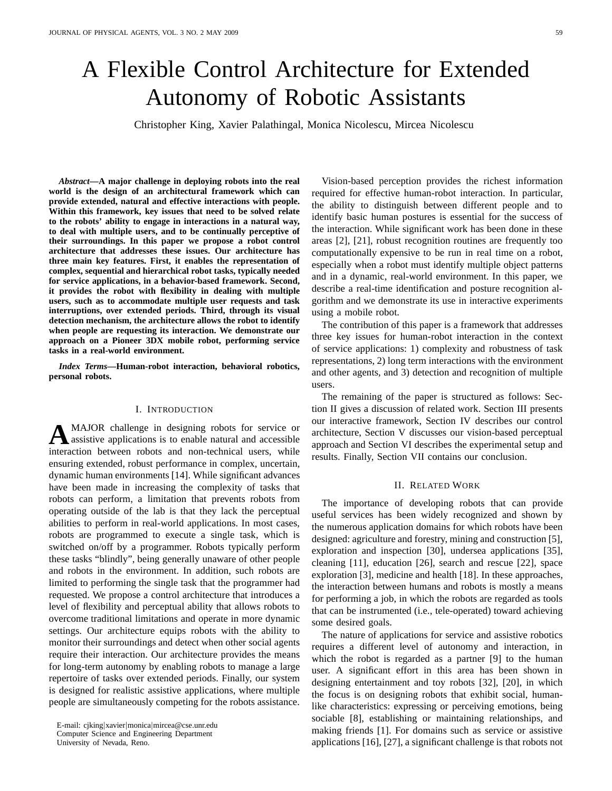# A Flexible Control Architecture for Extended Autonomy of Robotic Assistants

Christopher King, Xavier Palathingal, Monica Nicolescu, Mircea Nicolescu

*Abstract***—A major challenge in deploying robots into the real world is the design of an architectural framework which can provide extended, natural and effective interactions with people. Within this framework, key issues that need to be solved relate to the robots' ability to engage in interactions in a natural way, to deal with multiple users, and to be continually perceptive of their surroundings. In this paper we propose a robot control architecture that addresses these issues. Our architecture has three main key features. First, it enables the representation of complex, sequential and hierarchical robot tasks, typically needed for service applications, in a behavior-based framework. Second, it provides the robot with flexibility in dealing with multiple users, such as to accommodate multiple user requests and task interruptions, over extended periods. Third, through its visual detection mechanism, the architecture allows the robot to identify when people are requesting its interaction. We demonstrate our approach on a Pioneer 3DX mobile robot, performing service tasks in a real-world environment.**

*Index Terms***—Human-robot interaction, behavioral robotics, personal robots.**

#### I. INTRODUCTION

**A** MAJOR challenge in designing robots for service or assistive applications is to enable natural and accessible MAJOR challenge in designing robots for service or interaction between robots and non-technical users, while ensuring extended, robust performance in complex, uncertain, dynamic human environments [14]. While significant advances have been made in increasing the complexity of tasks that robots can perform, a limitation that prevents robots from operating outside of the lab is that they lack the perceptual abilities to perform in real-world applications. In most cases, robots are programmed to execute a single task, which is switched on/off by a programmer. Robots typically perform these tasks "blindly", being generally unaware of other people and robots in the environment. In addition, such robots are limited to performing the single task that the programmer had requested. We propose a control architecture that introduces a level of flexibility and perceptual ability that allows robots to overcome traditional limitations and operate in more dynamic settings. Our architecture equips robots with the ability to monitor their surroundings and detect when other social agents require their interaction. Our architecture provides the means for long-term autonomy by enabling robots to manage a large repertoire of tasks over extended periods. Finally, our system is designed for realistic assistive applications, where multiple people are simultaneously competing for the robots assistance.

University of Nevada, Reno.

Vision-based perception provides the richest information required for effective human-robot interaction. In particular, the ability to distinguish between different people and to identify basic human postures is essential for the success of the interaction. While significant work has been done in these areas [2], [21], robust recognition routines are frequently too computationally expensive to be run in real time on a robot, especially when a robot must identify multiple object patterns and in a dynamic, real-world environment. In this paper, we describe a real-time identification and posture recognition algorithm and we demonstrate its use in interactive experiments using a mobile robot.

The contribution of this paper is a framework that addresses three key issues for human-robot interaction in the context of service applications: 1) complexity and robustness of task representations, 2) long term interactions with the environment and other agents, and 3) detection and recognition of multiple users.

The remaining of the paper is structured as follows: Section II gives a discussion of related work. Section III presents our interactive framework, Section IV describes our control architecture, Section V discusses our vision-based perceptual approach and Section VI describes the experimental setup and results. Finally, Section VII contains our conclusion.

#### II. RELATED WORK

The importance of developing robots that can provide useful services has been widely recognized and shown by the numerous application domains for which robots have been designed: agriculture and forestry, mining and construction [5], exploration and inspection [30], undersea applications [35], cleaning [11], education [26], search and rescue [22], space exploration [3], medicine and health [18]. In these approaches, the interaction between humans and robots is mostly a means for performing a job, in which the robots are regarded as tools that can be instrumented (i.e., tele-operated) toward achieving some desired goals.

The nature of applications for service and assistive robotics requires a different level of autonomy and interaction, in which the robot is regarded as a partner [9] to the human user. A significant effort in this area has been shown in designing entertainment and toy robots [32], [20], in which the focus is on designing robots that exhibit social, humanlike characteristics: expressing or perceiving emotions, being sociable [8], establishing or maintaining relationships, and making friends [1]. For domains such as service or assistive applications [16], [27], a significant challenge is that robots not

E-mail: cjking|xavier|monica|mircea@cse.unr.edu Computer Science and Engineering Department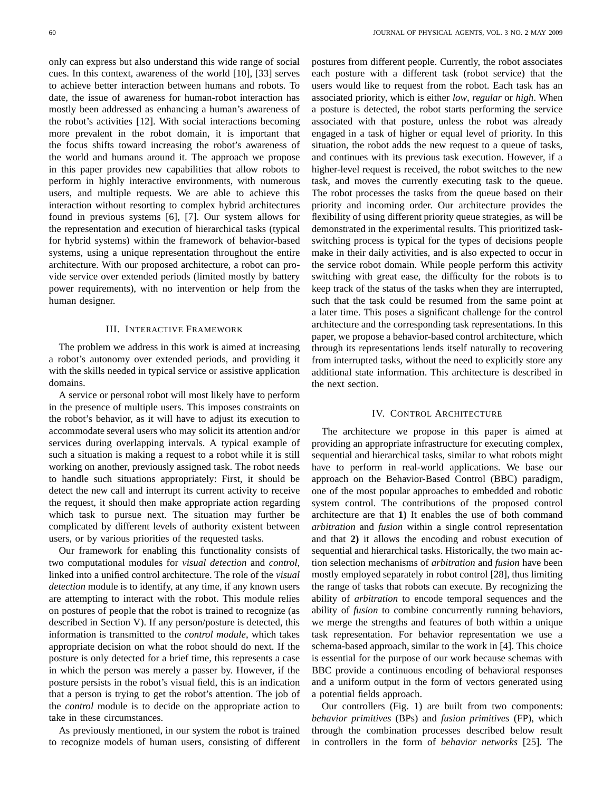only can express but also understand this wide range of social cues. In this context, awareness of the world [10], [33] serves to achieve better interaction between humans and robots. To date, the issue of awareness for human-robot interaction has mostly been addressed as enhancing a human's awareness of the robot's activities [12]. With social interactions becoming more prevalent in the robot domain, it is important that the focus shifts toward increasing the robot's awareness of the world and humans around it. The approach we propose in this paper provides new capabilities that allow robots to perform in highly interactive environments, with numerous users, and multiple requests. We are able to achieve this interaction without resorting to complex hybrid architectures found in previous systems [6], [7]. Our system allows for the representation and execution of hierarchical tasks (typical for hybrid systems) within the framework of behavior-based systems, using a unique representation throughout the entire architecture. With our proposed architecture, a robot can provide service over extended periods (limited mostly by battery power requirements), with no intervention or help from the human designer.

## III. INTERACTIVE FRAMEWORK

The problem we address in this work is aimed at increasing a robot's autonomy over extended periods, and providing it with the skills needed in typical service or assistive application domains.

A service or personal robot will most likely have to perform in the presence of multiple users. This imposes constraints on the robot's behavior, as it will have to adjust its execution to accommodate several users who may solicit its attention and/or services during overlapping intervals. A typical example of such a situation is making a request to a robot while it is still working on another, previously assigned task. The robot needs to handle such situations appropriately: First, it should be detect the new call and interrupt its current activity to receive the request, it should then make appropriate action regarding which task to pursue next. The situation may further be complicated by different levels of authority existent between users, or by various priorities of the requested tasks.

Our framework for enabling this functionality consists of two computational modules for *visual detection* and *control*, linked into a unified control architecture. The role of the *visual detection* module is to identify, at any time, if any known users are attempting to interact with the robot. This module relies on postures of people that the robot is trained to recognize (as described in Section V). If any person/posture is detected, this information is transmitted to the *control module*, which takes appropriate decision on what the robot should do next. If the posture is only detected for a brief time, this represents a case in which the person was merely a passer by. However, if the posture persists in the robot's visual field, this is an indication that a person is trying to get the robot's attention. The job of the *control* module is to decide on the appropriate action to take in these circumstances.

As previously mentioned, in our system the robot is trained to recognize models of human users, consisting of different

postures from different people. Currently, the robot associates each posture with a different task (robot service) that the users would like to request from the robot. Each task has an associated priority, which is either *low*, *regular* or *high*. When a posture is detected, the robot starts performing the service associated with that posture, unless the robot was already engaged in a task of higher or equal level of priority. In this situation, the robot adds the new request to a queue of tasks, and continues with its previous task execution. However, if a higher-level request is received, the robot switches to the new task, and moves the currently executing task to the queue. The robot processes the tasks from the queue based on their priority and incoming order. Our architecture provides the flexibility of using different priority queue strategies, as will be demonstrated in the experimental results. This prioritized taskswitching process is typical for the types of decisions people make in their daily activities, and is also expected to occur in the service robot domain. While people perform this activity switching with great ease, the difficulty for the robots is to keep track of the status of the tasks when they are interrupted, such that the task could be resumed from the same point at a later time. This poses a significant challenge for the control architecture and the corresponding task representations. In this paper, we propose a behavior-based control architecture, which through its representations lends itself naturally to recovering from interrupted tasks, without the need to explicitly store any additional state information. This architecture is described in the next section.

## IV. CONTROL ARCHITECTURE

The architecture we propose in this paper is aimed at providing an appropriate infrastructure for executing complex, sequential and hierarchical tasks, similar to what robots might have to perform in real-world applications. We base our approach on the Behavior-Based Control (BBC) paradigm, one of the most popular approaches to embedded and robotic system control. The contributions of the proposed control architecture are that **1)** It enables the use of both command *arbitration* and *fusion* within a single control representation and that **2)** it allows the encoding and robust execution of sequential and hierarchical tasks. Historically, the two main action selection mechanisms of *arbitration* and *fusion* have been mostly employed separately in robot control [28], thus limiting the range of tasks that robots can execute. By recognizing the ability of *arbitration* to encode temporal sequences and the ability of *fusion* to combine concurrently running behaviors, we merge the strengths and features of both within a unique task representation. For behavior representation we use a schema-based approach, similar to the work in [4]. This choice is essential for the purpose of our work because schemas with BBC provide a continuous encoding of behavioral responses and a uniform output in the form of vectors generated using a potential fields approach.

Our controllers (Fig. 1) are built from two components: *behavior primitives* (BPs) and *fusion primitives* (FP), which through the combination processes described below result in controllers in the form of *behavior networks* [25]. The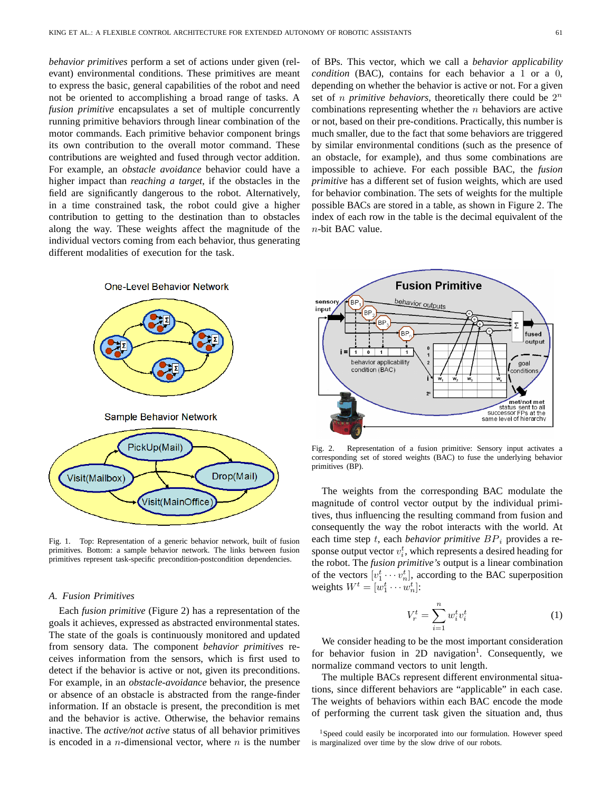*behavior primitives* perform a set of actions under given (relevant) environmental conditions. These primitives are meant to express the basic, general capabilities of the robot and need not be oriented to accomplishing a broad range of tasks. A *fusion primitive* encapsulates a set of multiple concurrently running primitive behaviors through linear combination of the motor commands. Each primitive behavior component brings its own contribution to the overall motor command. These contributions are weighted and fused through vector addition. For example, an *obstacle avoidance* behavior could have a higher impact than *reaching a target*, if the obstacles in the field are significantly dangerous to the robot. Alternatively, in a time constrained task, the robot could give a higher contribution to getting to the destination than to obstacles along the way. These weights affect the magnitude of the individual vectors coming from each behavior, thus generating



different modalities of execution for the task.

Fig. 1. Top: Representation of a generic behavior network, built of fusion primitives. Bottom: a sample behavior network. The links between fusion primitives represent task-specific precondition-postcondition dependencies.

#### *A. Fusion Primitives*

Each *fusion primitive* (Figure 2) has a representation of the goals it achieves, expressed as abstracted environmental states. The state of the goals is continuously monitored and updated from sensory data. The component *behavior primitives* receives information from the sensors, which is first used to detect if the behavior is active or not, given its preconditions. For example, in an *obstacle-avoidance* behavior, the presence or absence of an obstacle is abstracted from the range-finder information. If an obstacle is present, the precondition is met and the behavior is active. Otherwise, the behavior remains inactive. The *active/not active* status of all behavior primitives is encoded in a *n*-dimensional vector, where  $n$  is the number of BPs. This vector, which we call a *behavior applicability condition* (BAC), contains for each behavior a 1 or a 0, depending on whether the behavior is active or not. For a given set of *n primitive behaviors*, theoretically there could be  $2^n$ combinations representing whether the  $n$  behaviors are active or not, based on their pre-conditions. Practically, this number is much smaller, due to the fact that some behaviors are triggered by similar environmental conditions (such as the presence of an obstacle, for example), and thus some combinations are impossible to achieve. For each possible BAC, the *fusion primitive* has a different set of fusion weights, which are used for behavior combination. The sets of weights for the multiple possible BACs are stored in a table, as shown in Figure 2. The index of each row in the table is the decimal equivalent of the  $n$ -bit BAC value.



Fig. 2. Representation of a fusion primitive: Sensory input activates a corresponding set of stored weights (BAC) to fuse the underlying behavior primitives (BP).

The weights from the corresponding BAC modulate the magnitude of control vector output by the individual primitives, thus influencing the resulting command from fusion and consequently the way the robot interacts with the world. At each time step t, each *behavior primitive*  $BP_i$  provides a response output vector  $v_i^t$ , which represents a desired heading for the robot. The *fusion primitive's* output is a linear combination of the vectors  $[v_1^t \cdots v_n^t]$ , according to the BAC superposition weights  $W^t = [w_1^t \cdots w_n^t]$ :

$$
V_r^t = \sum_{i=1}^n w_i^t v_i^t \tag{1}
$$

We consider heading to be the most important consideration for behavior fusion in 2D navigation<sup>1</sup>. Consequently, we normalize command vectors to unit length.

The multiple BACs represent different environmental situations, since different behaviors are "applicable" in each case. The weights of behaviors within each BAC encode the mode of performing the current task given the situation and, thus

<sup>&</sup>lt;sup>1</sup>Speed could easily be incorporated into our formulation. However speed is marginalized over time by the slow drive of our robots.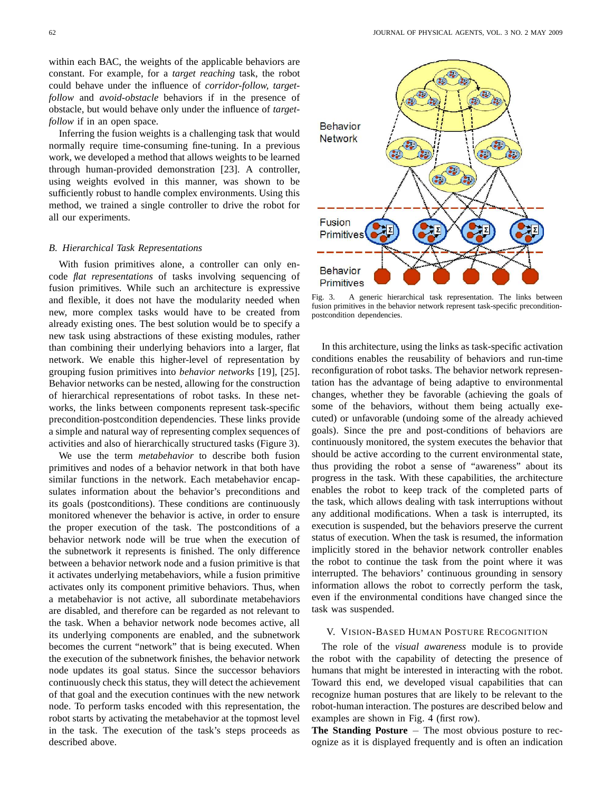within each BAC, the weights of the applicable behaviors are constant. For example, for a *target reaching* task, the robot could behave under the influence of *corridor-follow, targetfollow* and *avoid-obstacle* behaviors if in the presence of obstacle, but would behave only under the influence of *targetfollow* if in an open space.

Inferring the fusion weights is a challenging task that would normally require time-consuming fine-tuning. In a previous work, we developed a method that allows weights to be learned through human-provided demonstration [23]. A controller, using weights evolved in this manner, was shown to be sufficiently robust to handle complex environments. Using this method, we trained a single controller to drive the robot for all our experiments.

## *B. Hierarchical Task Representations*

With fusion primitives alone, a controller can only encode *flat representations* of tasks involving sequencing of fusion primitives. While such an architecture is expressive and flexible, it does not have the modularity needed when new, more complex tasks would have to be created from already existing ones. The best solution would be to specify a new task using abstractions of these existing modules, rather than combining their underlying behaviors into a larger, flat network. We enable this higher-level of representation by grouping fusion primitives into *behavior networks* [19], [25]. Behavior networks can be nested, allowing for the construction of hierarchical representations of robot tasks. In these networks, the links between components represent task-specific precondition-postcondition dependencies. These links provide a simple and natural way of representing complex sequences of activities and also of hierarchically structured tasks (Figure 3).

We use the term *metabehavior* to describe both fusion primitives and nodes of a behavior network in that both have similar functions in the network. Each metabehavior encapsulates information about the behavior's preconditions and its goals (postconditions). These conditions are continuously monitored whenever the behavior is active, in order to ensure the proper execution of the task. The postconditions of a behavior network node will be true when the execution of the subnetwork it represents is finished. The only difference between a behavior network node and a fusion primitive is that it activates underlying metabehaviors, while a fusion primitive activates only its component primitive behaviors. Thus, when a metabehavior is not active, all subordinate metabehaviors are disabled, and therefore can be regarded as not relevant to the task. When a behavior network node becomes active, all its underlying components are enabled, and the subnetwork becomes the current "network" that is being executed. When the execution of the subnetwork finishes, the behavior network node updates its goal status. Since the successor behaviors continuously check this status, they will detect the achievement of that goal and the execution continues with the new network node. To perform tasks encoded with this representation, the robot starts by activating the metabehavior at the topmost level in the task. The execution of the task's steps proceeds as described above.



Fig. 3. A generic hierarchical task representation. The links between fusion primitives in the behavior network represent task-specific preconditionpostcondition dependencies.

In this architecture, using the links as task-specific activation conditions enables the reusability of behaviors and run-time reconfiguration of robot tasks. The behavior network representation has the advantage of being adaptive to environmental changes, whether they be favorable (achieving the goals of some of the behaviors, without them being actually executed) or unfavorable (undoing some of the already achieved goals). Since the pre and post-conditions of behaviors are continuously monitored, the system executes the behavior that should be active according to the current environmental state, thus providing the robot a sense of "awareness" about its progress in the task. With these capabilities, the architecture enables the robot to keep track of the completed parts of the task, which allows dealing with task interruptions without any additional modifications. When a task is interrupted, its execution is suspended, but the behaviors preserve the current status of execution. When the task is resumed, the information implicitly stored in the behavior network controller enables the robot to continue the task from the point where it was interrupted. The behaviors' continuous grounding in sensory information allows the robot to correctly perform the task, even if the environmental conditions have changed since the task was suspended.

## V. VISION-BASED HUMAN POSTURE RECOGNITION

The role of the *visual awareness* module is to provide the robot with the capability of detecting the presence of humans that might be interested in interacting with the robot. Toward this end, we developed visual capabilities that can recognize human postures that are likely to be relevant to the robot-human interaction. The postures are described below and examples are shown in Fig. 4 (first row).

**The Standing Posture** <sup>−</sup> The most obvious posture to recognize as it is displayed frequently and is often an indication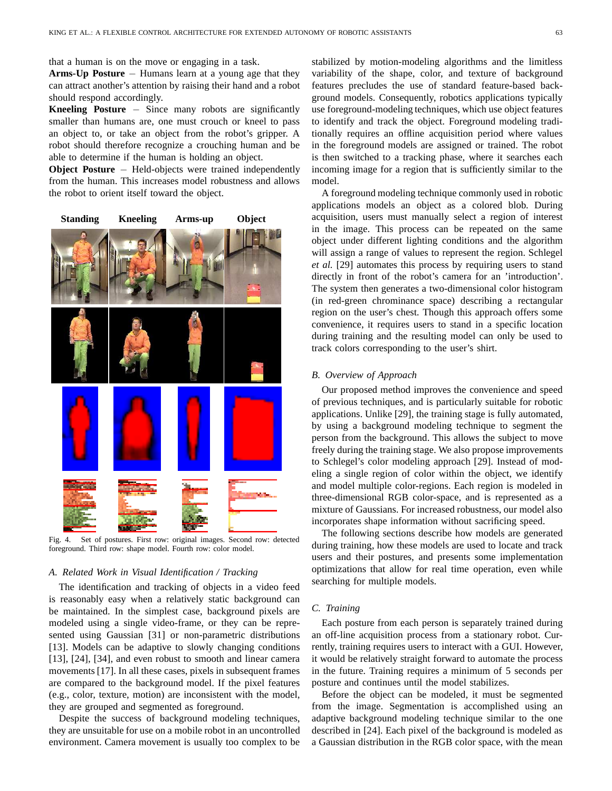that a human is on the move or engaging in a task.

**Arms-Up Posture** <sup>−</sup> Humans learn at a young age that they can attract another's attention by raising their hand and a robot should respond accordingly.

**Kneeling Posture** <sup>−</sup> Since many robots are significantly smaller than humans are, one must crouch or kneel to pass an object to, or take an object from the robot's gripper. A robot should therefore recognize a crouching human and be able to determine if the human is holding an object.

**Object Posture** <sup>−</sup> Held-objects were trained independently from the human. This increases model robustness and allows the robot to orient itself toward the object.



Fig. 4. Set of postures. First row: original images. Second row: detected foreground. Third row: shape model. Fourth row: color model.

## *A. Related Work in Visual Identification / Tracking*

The identification and tracking of objects in a video feed is reasonably easy when a relatively static background can be maintained. In the simplest case, background pixels are modeled using a single video-frame, or they can be represented using Gaussian [31] or non-parametric distributions [13]. Models can be adaptive to slowly changing conditions [13], [24], [34], and even robust to smooth and linear camera movements [17]. In all these cases, pixels in subsequent frames are compared to the background model. If the pixel features (e.g., color, texture, motion) are inconsistent with the model, they are grouped and segmented as foreground.

Despite the success of background modeling techniques, they are unsuitable for use on a mobile robot in an uncontrolled environment. Camera movement is usually too complex to be

stabilized by motion-modeling algorithms and the limitless variability of the shape, color, and texture of background features precludes the use of standard feature-based background models. Consequently, robotics applications typically use foreground-modeling techniques, which use object features to identify and track the object. Foreground modeling traditionally requires an offline acquisition period where values in the foreground models are assigned or trained. The robot is then switched to a tracking phase, where it searches each incoming image for a region that is sufficiently similar to the model.

A foreground modeling technique commonly used in robotic applications models an object as a colored blob. During acquisition, users must manually select a region of interest in the image. This process can be repeated on the same object under different lighting conditions and the algorithm will assign a range of values to represent the region. Schlegel *et al.* [29] automates this process by requiring users to stand directly in front of the robot's camera for an 'introduction'. The system then generates a two-dimensional color histogram (in red-green chrominance space) describing a rectangular region on the user's chest. Though this approach offers some convenience, it requires users to stand in a specific location during training and the resulting model can only be used to track colors corresponding to the user's shirt.

## *B. Overview of Approach*

Our proposed method improves the convenience and speed of previous techniques, and is particularly suitable for robotic applications. Unlike [29], the training stage is fully automated, by using a background modeling technique to segment the person from the background. This allows the subject to move freely during the training stage. We also propose improvements to Schlegel's color modeling approach [29]. Instead of modeling a single region of color within the object, we identify and model multiple color-regions. Each region is modeled in three-dimensional RGB color-space, and is represented as a mixture of Gaussians. For increased robustness, our model also incorporates shape information without sacrificing speed.

The following sections describe how models are generated during training, how these models are used to locate and track users and their postures, and presents some implementation optimizations that allow for real time operation, even while searching for multiple models.

## *C. Training*

Each posture from each person is separately trained during an off-line acquisition process from a stationary robot. Currently, training requires users to interact with a GUI. However, it would be relatively straight forward to automate the process in the future. Training requires a minimum of 5 seconds per posture and continues until the model stabilizes.

Before the object can be modeled, it must be segmented from the image. Segmentation is accomplished using an adaptive background modeling technique similar to the one described in [24]. Each pixel of the background is modeled as a Gaussian distribution in the RGB color space, with the mean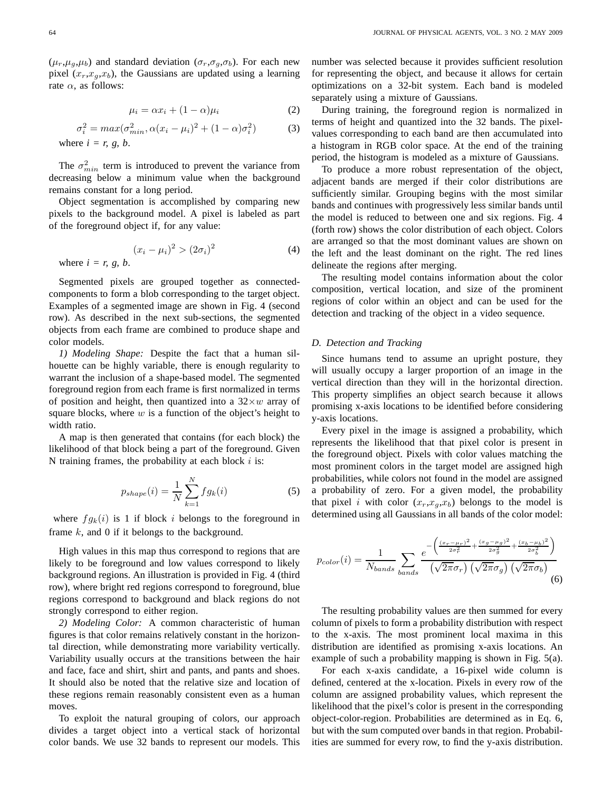$(\mu_r, \mu_q, \mu_b)$  and standard deviation  $(\sigma_r, \sigma_q, \sigma_b)$ . For each new pixel  $(x_r, x_q, x_b)$ , the Gaussians are updated using a learning rate  $\alpha$ , as follows:

$$
\mu_i = \alpha x_i + (1 - \alpha)\mu_i \tag{2}
$$

$$
\sigma_i^2 = \max(\sigma_{\min}^2, \alpha(x_i - \mu_i)^2 + (1 - \alpha)\sigma_i^2)
$$
 (3)  
where  $i = r, g, b$ .

The  $\sigma_{min}^2$  term is introduced to prevent the variance from decreasing below a minimum value when the background remains constant for a long period.

Object segmentation is accomplished by comparing new pixels to the background model. A pixel is labeled as part of the foreground object if, for any value:

$$
(x_i - \mu_i)^2 > (2\sigma_i)^2
$$
 (4)

where  $i = r$ , g, b.

Segmented pixels are grouped together as connectedcomponents to form a blob corresponding to the target object. Examples of a segmented image are shown in Fig. 4 (second row). As described in the next sub-sections, the segmented objects from each frame are combined to produce shape and color models.

*1) Modeling Shape:* Despite the fact that a human silhouette can be highly variable, there is enough regularity to warrant the inclusion of a shape-based model. The segmented foreground region from each frame is first normalized in terms of position and height, then quantized into a  $32 \times w$  array of square blocks, where  $w$  is a function of the object's height to width ratio.

A map is then generated that contains (for each block) the likelihood of that block being a part of the foreground. Given N training frames, the probability at each block  $i$  is:

$$
p_{shape}(i) = \frac{1}{N} \sum_{k=1}^{N} f g_k(i)
$$
\n(5)

where  $fg_k(i)$  is 1 if block i belongs to the foreground in frame  $k$ , and 0 if it belongs to the background.

High values in this map thus correspond to regions that are likely to be foreground and low values correspond to likely background regions. An illustration is provided in Fig. 4 (third row), where bright red regions correspond to foreground, blue regions correspond to background and black regions do not strongly correspond to either region.

*2) Modeling Color:* A common characteristic of human figures is that color remains relatively constant in the horizontal direction, while demonstrating more variability vertically. Variability usually occurs at the transitions between the hair and face, face and shirt, shirt and pants, and pants and shoes. It should also be noted that the relative size and location of these regions remain reasonably consistent even as a human moves.

To exploit the natural grouping of colors, our approach divides a target object into a vertical stack of horizontal color bands. We use 32 bands to represent our models. This number was selected because it provides sufficient resolution for representing the object, and because it allows for certain optimizations on a 32-bit system. Each band is modeled separately using a mixture of Gaussians.

During training, the foreground region is normalized in terms of height and quantized into the 32 bands. The pixelvalues corresponding to each band are then accumulated into a histogram in RGB color space. At the end of the training period, the histogram is modeled as a mixture of Gaussians.

To produce a more robust representation of the object, adjacent bands are merged if their color distributions are sufficiently similar. Grouping begins with the most similar bands and continues with progressively less similar bands until the model is reduced to between one and six regions. Fig. 4 (forth row) shows the color distribution of each object. Colors are arranged so that the most dominant values are shown on the left and the least dominant on the right. The red lines delineate the regions after merging.

The resulting model contains information about the color composition, vertical location, and size of the prominent regions of color within an object and can be used for the detection and tracking of the object in a video sequence.

#### *D. Detection and Tracking*

Since humans tend to assume an upright posture, they will usually occupy a larger proportion of an image in the vertical direction than they will in the horizontal direction. This property simplifies an object search because it allows promising x-axis locations to be identified before considering y-axis locations.

Every pixel in the image is assigned a probability, which represents the likelihood that that pixel color is present in the foreground object. Pixels with color values matching the most prominent colors in the target model are assigned high probabilities, while colors not found in the model are assigned a probability of zero. For a given model, the probability that pixel i with color  $(x_r, x_q, x_b)$  belongs to the model is determined using all Gaussians in all bands of the color model:

$$
p_{color}(i) = \frac{1}{N_{bands}} \sum_{bands} \frac{e^{-\left(\frac{(x_r - \mu_r)^2}{2\sigma_r^2} + \frac{(x_g - \mu_g)^2}{2\sigma_g^2} + \frac{(x_b - \mu_b)^2}{2\sigma_b^2}\right)}}{\left(\sqrt{2\pi}\sigma_r\right)\left(\sqrt{2\pi}\sigma_g\right)\left(\sqrt{2\pi}\sigma_b\right)}
$$
(6)

The resulting probability values are then summed for every column of pixels to form a probability distribution with respect to the x-axis. The most prominent local maxima in this distribution are identified as promising x-axis locations. An example of such a probability mapping is shown in Fig. 5(a).

For each x-axis candidate, a 16-pixel wide column is defined, centered at the x-location. Pixels in every row of the column are assigned probability values, which represent the likelihood that the pixel's color is present in the corresponding object-color-region. Probabilities are determined as in Eq. 6, but with the sum computed over bands in that region. Probabilities are summed for every row, to find the y-axis distribution.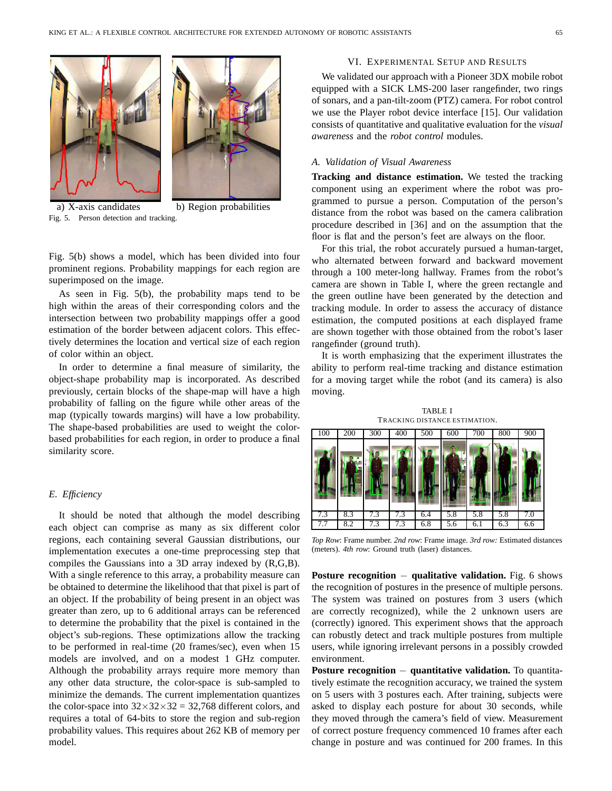

a) X-axis candidates b) Region probabilities Fig. 5. Person detection and tracking.



Fig. 5(b) shows a model, which has been divided into four prominent regions. Probability mappings for each region are superimposed on the image.

As seen in Fig. 5(b), the probability maps tend to be high within the areas of their corresponding colors and the intersection between two probability mappings offer a good estimation of the border between adjacent colors. This effectively determines the location and vertical size of each region of color within an object.

In order to determine a final measure of similarity, the object-shape probability map is incorporated. As described previously, certain blocks of the shape-map will have a high probability of falling on the figure while other areas of the map (typically towards margins) will have a low probability. The shape-based probabilities are used to weight the colorbased probabilities for each region, in order to produce a final similarity score.

## *E. Efficiency*

It should be noted that although the model describing each object can comprise as many as six different color regions, each containing several Gaussian distributions, our implementation executes a one-time preprocessing step that compiles the Gaussians into a 3D array indexed by (R,G,B). With a single reference to this array, a probability measure can be obtained to determine the likelihood that that pixel is part of an object. If the probability of being present in an object was greater than zero, up to 6 additional arrays can be referenced to determine the probability that the pixel is contained in the object's sub-regions. These optimizations allow the tracking to be performed in real-time (20 frames/sec), even when 15 models are involved, and on a modest 1 GHz computer. Although the probability arrays require more memory than any other data structure, the color-space is sub-sampled to minimize the demands. The current implementation quantizes the color-space into  $32 \times 32 \times 32 = 32,768$  different colors, and requires a total of 64-bits to store the region and sub-region probability values. This requires about 262 KB of memory per model.

# VI. EXPERIMENTAL SETUP AND RESULTS

We validated our approach with a Pioneer 3DX mobile robot equipped with a SICK LMS-200 laser rangefinder, two rings of sonars, and a pan-tilt-zoom (PTZ) camera. For robot control we use the Player robot device interface [15]. Our validation consists of quantitative and qualitative evaluation for the *visual awareness* and the *robot control* modules.

#### *A. Validation of Visual Awareness*

**Tracking and distance estimation.** We tested the tracking component using an experiment where the robot was programmed to pursue a person. Computation of the person's distance from the robot was based on the camera calibration procedure described in [36] and on the assumption that the floor is flat and the person's feet are always on the floor.

For this trial, the robot accurately pursued a human-target, who alternated between forward and backward movement through a 100 meter-long hallway. Frames from the robot's camera are shown in Table I, where the green rectangle and the green outline have been generated by the detection and tracking module. In order to assess the accuracy of distance estimation, the computed positions at each displayed frame are shown together with those obtained from the robot's laser rangefinder (ground truth).

It is worth emphasizing that the experiment illustrates the ability to perform real-time tracking and distance estimation for a moving target while the robot (and its camera) is also moving.

TABLE I TRACKING DISTANCE ESTIMATION.

| 100 | 200 | 300 | 400 | 500 | 600 | 700 | 800 | 900 |
|-----|-----|-----|-----|-----|-----|-----|-----|-----|
|     |     |     |     |     |     |     |     |     |
| 7.3 | 8.3 | 7.3 | 7.3 | 6.4 | 5.8 | 5.8 | 5.8 | 7.0 |
| 7.7 | 8.2 | 7.3 | 7.3 | 6.8 | 5.6 | 6.1 | 6.3 | 6.6 |

*Top Row*: Frame number. *2nd row*: Frame image. *3rd row:* Estimated distances (meters). *4th row*: Ground truth (laser) distances.

**Posture recognition** <sup>−</sup> **qualitative validation.** Fig. 6 shows the recognition of postures in the presence of multiple persons. The system was trained on postures from 3 users (which are correctly recognized), while the 2 unknown users are (correctly) ignored. This experiment shows that the approach can robustly detect and track multiple postures from multiple users, while ignoring irrelevant persons in a possibly crowded environment.

**Posture recognition** <sup>−</sup> **quantitative validation.** To quantitatively estimate the recognition accuracy, we trained the system on 5 users with 3 postures each. After training, subjects were asked to display each posture for about 30 seconds, while they moved through the camera's field of view. Measurement of correct posture frequency commenced 10 frames after each change in posture and was continued for 200 frames. In this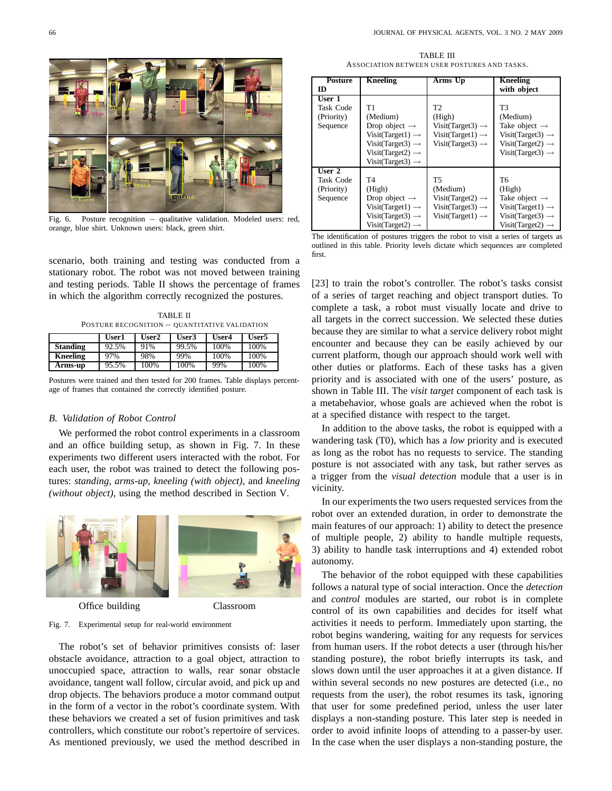

Fig. 6. Posture recognition − qualitative validation. Modeled users: red, orange, blue shirt. Unknown users: black, green shirt.

scenario, both training and testing was conducted from a stationary robot. The robot was not moved between training and testing periods. Table II shows the percentage of frames in which the algorithm correctly recognized the postures.

TABLE II POSTURE RECOGNITION − QUANTITATIVE VALIDATION

|                 | User1 | User2 | User3 | User4 | User5 |
|-----------------|-------|-------|-------|-------|-------|
| <b>Standing</b> | 92.5% | 91%   | 99.5% | 100%  | 100%  |
| <b>Kneeling</b> | 97%   | 98%   | 99%   | 100%  | 100%  |
| Arms-up         | 95.5% | 100%  | 100%  | 99%   | 100%  |

Postures were trained and then tested for 200 frames. Table displays percentage of frames that contained the correctly identified posture.

#### *B. Validation of Robot Control*

We performed the robot control experiments in a classroom and an office building setup, as shown in Fig. 7. In these experiments two different users interacted with the robot. For each user, the robot was trained to detect the following postures: *standing*, *arms-up*, *kneeling (with object)*, and *kneeling (without object)*, using the method described in Section V.



Office building Classroom

# Fig. 7. Experimental setup for real-world environment

The robot's set of behavior primitives consists of: laser obstacle avoidance, attraction to a goal object, attraction to unoccupied space, attraction to walls, rear sonar obstacle avoidance, tangent wall follow, circular avoid, and pick up and drop objects. The behaviors produce a motor command output in the form of a vector in the robot's coordinate system. With these behaviors we created a set of fusion primitives and task controllers, which constitute our robot's repertoire of services. As mentioned previously, we used the method described in

TABLE III ASSOCIATION BETWEEN USER POSTURES AND TASKS.

| <b>Posture</b>                                           | <b>Kneeling</b>                                                                                                                                                             | Arms Up                                                                                                                  | <b>Kneeling</b>                                                                                                                             |
|----------------------------------------------------------|-----------------------------------------------------------------------------------------------------------------------------------------------------------------------------|--------------------------------------------------------------------------------------------------------------------------|---------------------------------------------------------------------------------------------------------------------------------------------|
| $\bf{ID}$                                                |                                                                                                                                                                             |                                                                                                                          | with object                                                                                                                                 |
| User 1<br><b>Task Code</b><br>(Priority)<br>Sequence     | T1<br>(Medium)<br>Drop object $\rightarrow$<br>$Visit(Target1) \rightarrow$<br>Visit(Target3) $\rightarrow$<br>Visit(Target2) $\rightarrow$<br>Visit(Target3) $\rightarrow$ | T <sub>2</sub><br>(High)<br>Visit(Target3) $\rightarrow$<br>Visit(Target1) $\rightarrow$<br>Visit(Target3) $\rightarrow$ | T3<br>(Medium)<br>Take object $\rightarrow$<br>Visit(Target3) $\rightarrow$<br>Visit(Target2) $\rightarrow$<br>Visit(Target3) $\rightarrow$ |
| User <sub>2</sub><br>Task Code<br>(Priority)<br>Sequence | T4<br>(High)<br>Drop object $\rightarrow$<br>Visit(Target1) $\rightarrow$<br>Visit(Target3) $\rightarrow$<br>Visit(Target2) $\rightarrow$                                   | T5<br>(Medium)<br>Visit(Target2) $\rightarrow$<br>Visit(Target3) $\rightarrow$<br>Visit(Target1) $\rightarrow$           | Т6<br>(High)<br>Take object $\rightarrow$<br>$Visit(Target1) \rightarrow$<br>Visit(Target3) $\rightarrow$<br>Visit(Target2) $\rightarrow$   |

The identification of postures triggers the robot to visit a series of targets as outlined in this table. Priority levels dictate which sequences are completed first.

[23] to train the robot's controller. The robot's tasks consist of a series of target reaching and object transport duties. To complete a task, a robot must visually locate and drive to all targets in the correct succession. We selected these duties because they are similar to what a service delivery robot might encounter and because they can be easily achieved by our current platform, though our approach should work well with other duties or platforms. Each of these tasks has a given priority and is associated with one of the users' posture, as shown in Table III. The *visit target* component of each task is a metabehavior, whose goals are achieved when the robot is at a specified distance with respect to the target.

In addition to the above tasks, the robot is equipped with a wandering task (T0), which has a *low* priority and is executed as long as the robot has no requests to service. The standing posture is not associated with any task, but rather serves as a trigger from the *visual detection* module that a user is in vicinity.

In our experiments the two users requested services from the robot over an extended duration, in order to demonstrate the main features of our approach: 1) ability to detect the presence of multiple people, 2) ability to handle multiple requests, 3) ability to handle task interruptions and 4) extended robot autonomy.

The behavior of the robot equipped with these capabilities follows a natural type of social interaction. Once the *detection* and *control* modules are started, our robot is in complete control of its own capabilities and decides for itself what activities it needs to perform. Immediately upon starting, the robot begins wandering, waiting for any requests for services from human users. If the robot detects a user (through his/her standing posture), the robot briefly interrupts its task, and slows down until the user approaches it at a given distance. If within several seconds no new postures are detected (i.e., no requests from the user), the robot resumes its task, ignoring that user for some predefined period, unless the user later displays a non-standing posture. This later step is needed in order to avoid infinite loops of attending to a passer-by user. In the case when the user displays a non-standing posture, the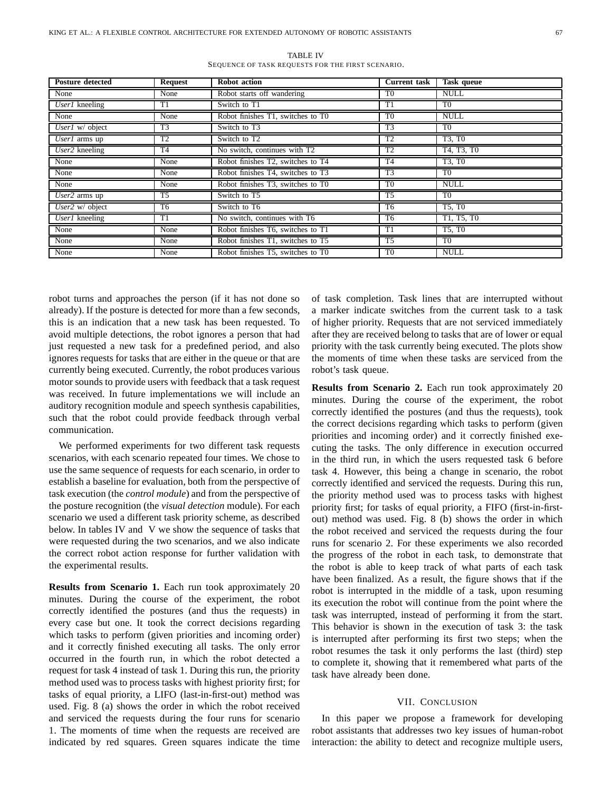| <b>Posture detected</b>    | <b>Request</b> | Robot action                      | <b>Current task</b> | Task queue     |
|----------------------------|----------------|-----------------------------------|---------------------|----------------|
| None                       | None           | Robot starts off wandering        | T0                  | <b>NULL</b>    |
| User1 kneeling             | T1             | Switch to T1                      | T1                  | T <sub>0</sub> |
| None                       | None           | Robot finishes T1, switches to T0 | T <sub>0</sub>      | <b>NULL</b>    |
| User1 w/ object            | T3             | Switch to T3                      | T <sub>3</sub>      | T <sub>0</sub> |
| User1 arms up              | T <sub>2</sub> | Switch to T2                      | T <sub>2</sub>      | T3, T0         |
| $User2$ kneeling           | T4             | No switch, continues with T2      | T2                  | T4, T3, T0     |
| None                       | None           | Robot finishes T2, switches to T4 | T4                  | T3, T0         |
| None                       | None           | Robot finishes T4, switches to T3 | T3                  | T <sub>0</sub> |
| None                       | None           | Robot finishes T3, switches to T0 | T <sub>0</sub>      | <b>NULL</b>    |
| $\overline{User2}$ arms up | T5             | Switch to T5                      | T <sub>5</sub>      | T <sub>0</sub> |
| User2 $w$ object           | T6             | Switch to T6                      | T <sub>6</sub>      | T5, T0         |
| User1 kneeling             | T1             | No switch, continues with T6      | T <sub>6</sub>      | T1, T5, T0     |
| None                       | None           | Robot finishes T6, switches to T1 | $\overline{11}$     | T5, T0         |
| None                       | None           | Robot finishes T1, switches to T5 | T <sub>5</sub>      | T <sub>0</sub> |
| None                       | None           | Robot finishes T5, switches to T0 | T <sub>0</sub>      | <b>NULL</b>    |

TABLE IV SEQUENCE OF TASK REQUESTS FOR THE FIRST SCENARIO.

robot turns and approaches the person (if it has not done so already). If the posture is detected for more than a few seconds, this is an indication that a new task has been requested. To avoid multiple detections, the robot ignores a person that had just requested a new task for a predefined period, and also ignores requests for tasks that are either in the queue or that are currently being executed. Currently, the robot produces various motor sounds to provide users with feedback that a task request was received. In future implementations we will include an auditory recognition module and speech synthesis capabilities, such that the robot could provide feedback through verbal communication.

We performed experiments for two different task requests scenarios, with each scenario repeated four times. We chose to use the same sequence of requests for each scenario, in order to establish a baseline for evaluation, both from the perspective of task execution (the *control module*) and from the perspective of the posture recognition (the *visual detection* module). For each scenario we used a different task priority scheme, as described below. In tables IV and V we show the sequence of tasks that were requested during the two scenarios, and we also indicate the correct robot action response for further validation with the experimental results.

**Results from Scenario 1.** Each run took approximately 20 minutes. During the course of the experiment, the robot correctly identified the postures (and thus the requests) in every case but one. It took the correct decisions regarding which tasks to perform (given priorities and incoming order) and it correctly finished executing all tasks. The only error occurred in the fourth run, in which the robot detected a request for task 4 instead of task 1. During this run, the priority method used was to process tasks with highest priority first; for tasks of equal priority, a LIFO (last-in-first-out) method was used. Fig. 8 (a) shows the order in which the robot received and serviced the requests during the four runs for scenario 1. The moments of time when the requests are received are indicated by red squares. Green squares indicate the time

of task completion. Task lines that are interrupted without a marker indicate switches from the current task to a task of higher priority. Requests that are not serviced immediately after they are received belong to tasks that are of lower or equal priority with the task currently being executed. The plots show the moments of time when these tasks are serviced from the robot's task queue.

**Results from Scenario 2.** Each run took approximately 20 minutes. During the course of the experiment, the robot correctly identified the postures (and thus the requests), took the correct decisions regarding which tasks to perform (given priorities and incoming order) and it correctly finished executing the tasks. The only difference in execution occurred in the third run, in which the users requested task 6 before task 4. However, this being a change in scenario, the robot correctly identified and serviced the requests. During this run, the priority method used was to process tasks with highest priority first; for tasks of equal priority, a FIFO (first-in-firstout) method was used. Fig. 8 (b) shows the order in which the robot received and serviced the requests during the four runs for scenario 2. For these experiments we also recorded the progress of the robot in each task, to demonstrate that the robot is able to keep track of what parts of each task have been finalized. As a result, the figure shows that if the robot is interrupted in the middle of a task, upon resuming its execution the robot will continue from the point where the task was interrupted, instead of performing it from the start. This behavior is shown in the execution of task 3: the task is interrupted after performing its first two steps; when the robot resumes the task it only performs the last (third) step to complete it, showing that it remembered what parts of the task have already been done.

#### VII. CONCLUSION

In this paper we propose a framework for developing robot assistants that addresses two key issues of human-robot interaction: the ability to detect and recognize multiple users,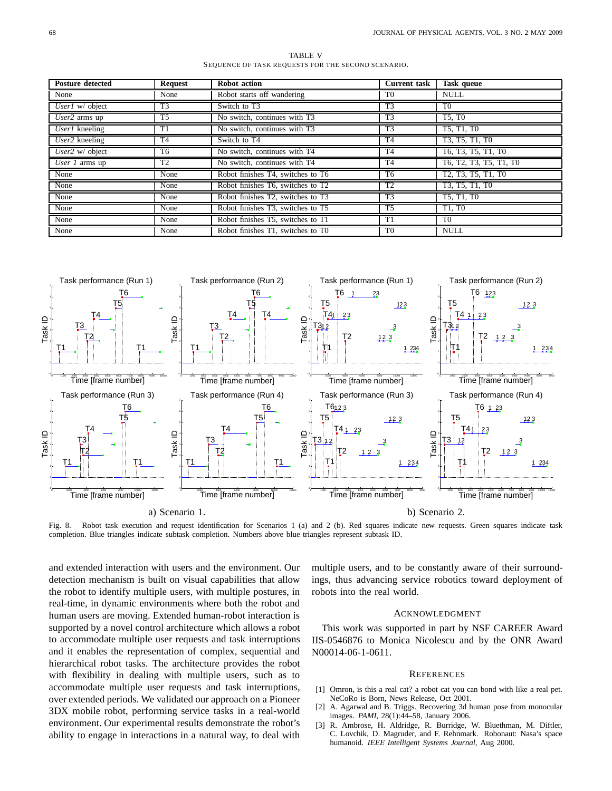TABLE V SEQUENCE OF TASK REQUESTS FOR THE SECOND SCENARIO.

| <b>Posture detected</b> | <b>Request</b> | <b>Robot</b> action               | <b>Current task</b> | <b>Task</b> queue                                                                  |
|-------------------------|----------------|-----------------------------------|---------------------|------------------------------------------------------------------------------------|
| None                    | None           | Robot starts off wandering        | T <sub>0</sub>      | <b>NULL</b>                                                                        |
| User1 w/ object         | T <sub>3</sub> | Switch to T3                      | T3                  | T <sub>0</sub>                                                                     |
| $User2$ arms up         | T5             | No switch, continues with T3      | T <sub>3</sub>      | T5. T0                                                                             |
| $UserI$ kneeling        | T1             | No switch, continues with T3      | T <sub>3</sub>      | T5, T1, T0                                                                         |
| User2 kneeling          | T <sub>4</sub> | Switch to T4                      | T <sub>4</sub>      | T3, T5, T1, T0                                                                     |
| User2 $w$ object        | T <sub>6</sub> | No switch, continues with T4      | T <sub>4</sub>      | T6, T3, T5, T1, T0                                                                 |
| User 1 arms up          | T <sub>2</sub> | No switch, continues with T4      | T <sub>4</sub>      | T6, T2, T3, T5, T1, T0                                                             |
| None                    | None           | Robot finishes T4, switches to T6 | T6                  | T <sub>2</sub> , T <sub>3</sub> , T <sub>5</sub> , T <sub>1</sub> , T <sub>0</sub> |
| None                    | None           | Robot finishes T6, switches to T2 | T2                  | T3, T5, T1, T0                                                                     |
| None                    | None           | Robot finishes T2, switches to T3 | T <sub>3</sub>      | T5, T1, T0                                                                         |
| None                    | None           | Robot finishes T3, switches to T5 | T <sub>5</sub>      | T1. T <sub>0</sub>                                                                 |
| None                    | None           | Robot finishes T5, switches to T1 | T1                  | T <sub>0</sub>                                                                     |
| None                    | None           | Robot finishes T1, switches to T0 | T <sub>0</sub>      | <b>NULL</b>                                                                        |



Fig. 8. Robot task execution and request identification for Scenarios 1 (a) and 2 (b). Red squares indicate new requests. Green squares indicate task completion. Blue triangles indicate subtask completion. Numbers above blue triangles represent subtask ID.

and extended interaction with users and the environment. Our detection mechanism is built on visual capabilities that allow the robot to identify multiple users, with multiple postures, in real-time, in dynamic environments where both the robot and human users are moving. Extended human-robot interaction is supported by a novel control architecture which allows a robot to accommodate multiple user requests and task interruptions and it enables the representation of complex, sequential and hierarchical robot tasks. The architecture provides the robot with flexibility in dealing with multiple users, such as to accommodate multiple user requests and task interruptions, over extended periods. We validated our approach on a Pioneer 3DX mobile robot, performing service tasks in a real-world environment. Our experimental results demonstrate the robot's ability to engage in interactions in a natural way, to deal with

multiple users, and to be constantly aware of their surroundings, thus advancing service robotics toward deployment of robots into the real world.

#### ACKNOWLEDGMENT

This work was supported in part by NSF CAREER Award IIS-0546876 to Monica Nicolescu and by the ONR Award N00014-06-1-0611.

#### **REFERENCES**

- [1] Omron, is this a real cat? a robot cat you can bond with like a real pet. NeCoRo is Born, News Release, Oct 2001.
- [2] A. Agarwal and B. Triggs. Recovering 3d human pose from monocular images. *PAMI*, 28(1):44–58, January 2006.
- [3] R. Ambrose, H. Aldridge, R. Burridge, W. Bluethman, M. Diftler, C. Lovchik, D. Magruder, and F. Rehnmark. Robonaut: Nasa's space humanoid. *IEEE Intelligent Systems Journal*, Aug 2000.